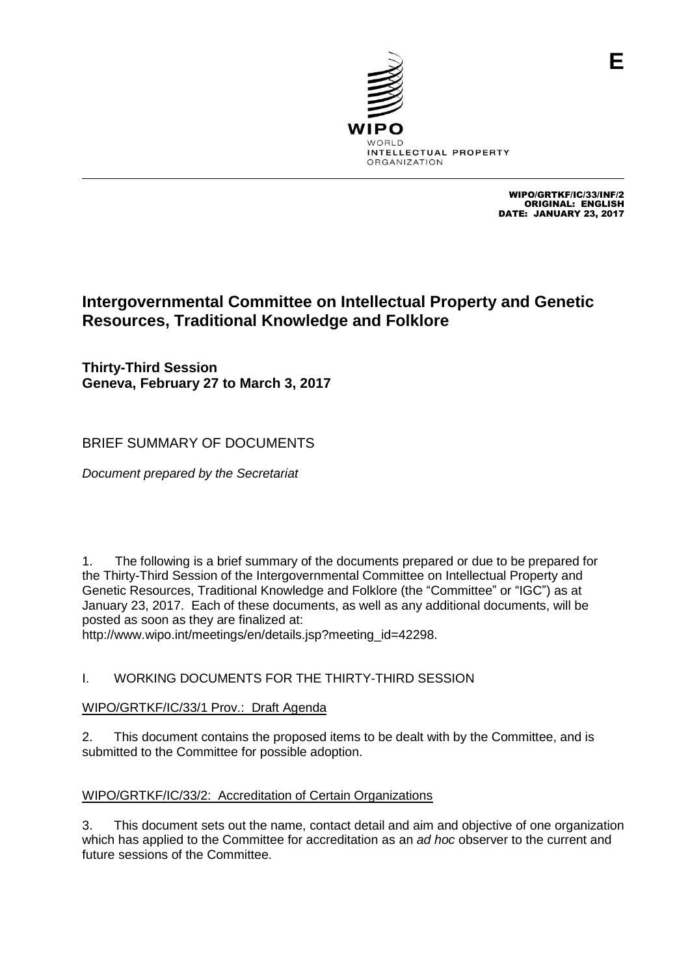

WIPO/GRTKF/IC/33/INF/2 ORIGINAL: ENGLISH DATE: JANUARY 23, 2017

# **Intergovernmental Committee on Intellectual Property and Genetic Resources, Traditional Knowledge and Folklore**

**Thirty-Third Session Geneva, February 27 to March 3, 2017**

## BRIEF SUMMARY OF DOCUMENTS

*Document prepared by the Secretariat*

1. The following is a brief summary of the documents prepared or due to be prepared for the Thirty-Third Session of the Intergovernmental Committee on Intellectual Property and Genetic Resources, Traditional Knowledge and Folklore (the "Committee" or "IGC") as at January 23, 2017. Each of these documents, as well as any additional documents, will be posted as soon as they are finalized at:

http://www.wipo.int/meetings/en/details.jsp?meeting\_id=42298.

## I. WORKING DOCUMENTS FOR THE THIRTY-THIRD SESSION

## WIPO/GRTKF/IC/33/1 Prov.: Draft Agenda

2. This document contains the proposed items to be dealt with by the Committee, and is submitted to the Committee for possible adoption.

## WIPO/GRTKF/IC/33/2: Accreditation of Certain Organizations

3. This document sets out the name, contact detail and aim and objective of one organization which has applied to the Committee for accreditation as an *ad hoc* observer to the current and future sessions of the Committee.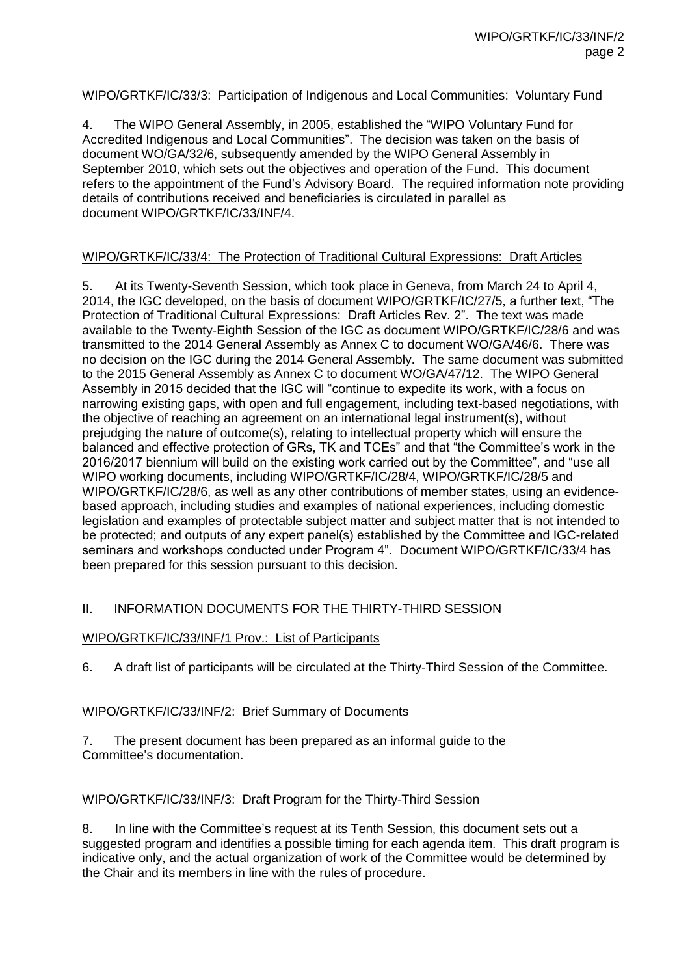#### WIPO/GRTKF/IC/33/3: Participation of Indigenous and Local Communities: Voluntary Fund

4. The WIPO General Assembly, in 2005, established the "WIPO Voluntary Fund for Accredited Indigenous and Local Communities". The decision was taken on the basis of document WO/GA/32/6, subsequently amended by the WIPO General Assembly in September 2010, which sets out the objectives and operation of the Fund. This document refers to the appointment of the Fund's Advisory Board. The required information note providing details of contributions received and beneficiaries is circulated in parallel as document WIPO/GRTKF/IC/33/INF/4.

#### WIPO/GRTKF/IC/33/4: The Protection of Traditional Cultural Expressions: Draft Articles

5. At its Twenty-Seventh Session, which took place in Geneva, from March 24 to April 4, 2014, the IGC developed, on the basis of document WIPO/GRTKF/IC/27/5, a further text, "The Protection of Traditional Cultural Expressions: Draft Articles Rev. 2". The text was made available to the Twenty-Eighth Session of the IGC as document WIPO/GRTKF/IC/28/6 and was transmitted to the 2014 General Assembly as Annex C to document WO/GA/46/6. There was no decision on the IGC during the 2014 General Assembly. The same document was submitted to the 2015 General Assembly as Annex C to document WO/GA/47/12. The WIPO General Assembly in 2015 decided that the IGC will "continue to expedite its work, with a focus on narrowing existing gaps, with open and full engagement, including text-based negotiations, with the objective of reaching an agreement on an international legal instrument(s), without prejudging the nature of outcome(s), relating to intellectual property which will ensure the balanced and effective protection of GRs, TK and TCEs" and that "the Committee's work in the 2016/2017 biennium will build on the existing work carried out by the Committee", and "use all WIPO working documents, including WIPO/GRTKF/IC/28/4, WIPO/GRTKF/IC/28/5 and WIPO/GRTKF/IC/28/6, as well as any other contributions of member states, using an evidencebased approach, including studies and examples of national experiences, including domestic legislation and examples of protectable subject matter and subject matter that is not intended to be protected; and outputs of any expert panel(s) established by the Committee and IGC-related seminars and workshops conducted under Program 4". Document WIPO/GRTKF/IC/33/4 has been prepared for this session pursuant to this decision.

#### II. INFORMATION DOCUMENTS FOR THE THIRTY-THIRD SESSION

#### WIPO/GRTKF/IC/33/INF/1 Prov.: List of Participants

6. A draft list of participants will be circulated at the Thirty-Third Session of the Committee.

#### WIPO/GRTKF/IC/33/INF/2: Brief Summary of Documents

7. The present document has been prepared as an informal guide to the Committee's documentation.

#### WIPO/GRTKF/IC/33/INF/3: Draft Program for the Thirty-Third Session

8. In line with the Committee's request at its Tenth Session, this document sets out a suggested program and identifies a possible timing for each agenda item. This draft program is indicative only, and the actual organization of work of the Committee would be determined by the Chair and its members in line with the rules of procedure.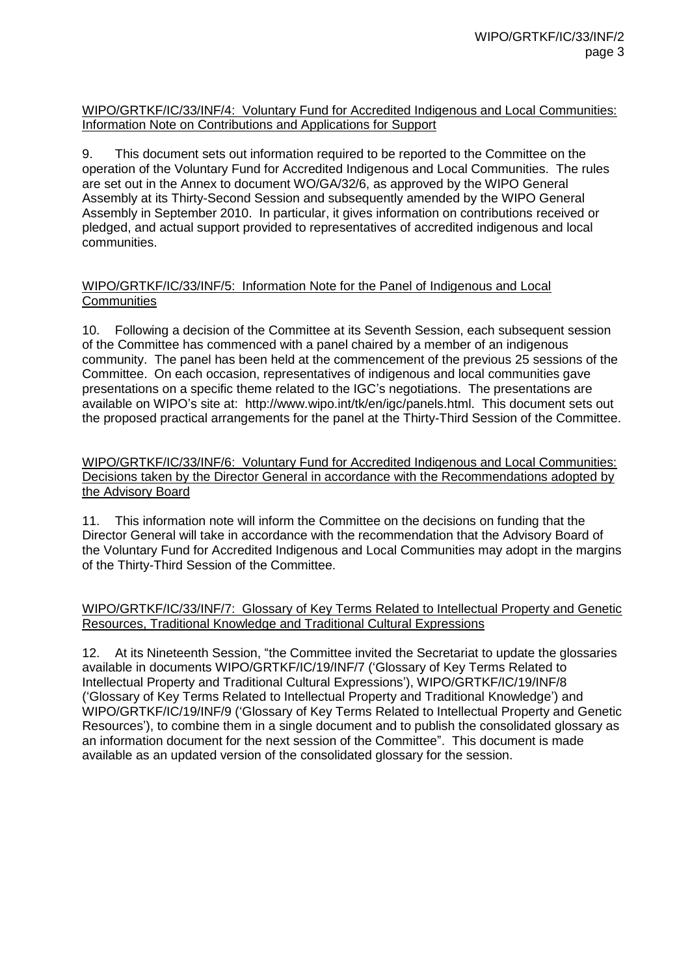#### WIPO/GRTKF/IC/33/INF/4: Voluntary Fund for Accredited Indigenous and Local Communities: Information Note on Contributions and Applications for Support

9. This document sets out information required to be reported to the Committee on the operation of the Voluntary Fund for Accredited Indigenous and Local Communities. The rules are set out in the Annex to document WO/GA/32/6, as approved by the WIPO General Assembly at its Thirty-Second Session and subsequently amended by the WIPO General Assembly in September 2010. In particular, it gives information on contributions received or pledged, and actual support provided to representatives of accredited indigenous and local communities.

#### WIPO/GRTKF/IC/33/INF/5: Information Note for the Panel of Indigenous and Local **Communities**

10. Following a decision of the Committee at its Seventh Session, each subsequent session of the Committee has commenced with a panel chaired by a member of an indigenous community. The panel has been held at the commencement of the previous 25 sessions of the Committee. On each occasion, representatives of indigenous and local communities gave presentations on a specific theme related to the IGC's negotiations. The presentations are available on WIPO's site at: [http://www.wipo.int/tk/en/igc/panels.html.](http://www.wipo.int/tk/en/igc/panels.html) This document sets out the proposed practical arrangements for the panel at the Thirty-Third Session of the Committee.

WIPO/GRTKF/IC/33/INF/6: Voluntary Fund for Accredited Indigenous and Local Communities: Decisions taken by the Director General in accordance with the Recommendations adopted by the Advisory Board

11. This information note will inform the Committee on the decisions on funding that the Director General will take in accordance with the recommendation that the Advisory Board of the Voluntary Fund for Accredited Indigenous and Local Communities may adopt in the margins of the Thirty-Third Session of the Committee.

#### WIPO/GRTKF/IC/33/INF/7: Glossary of Key Terms Related to Intellectual Property and Genetic Resources, Traditional Knowledge and Traditional Cultural Expressions

12. At its Nineteenth Session, "the Committee invited the Secretariat to update the glossaries available in documents WIPO/GRTKF/IC/19/INF/7 ('Glossary of Key Terms Related to Intellectual Property and Traditional Cultural Expressions'), WIPO/GRTKF/IC/19/INF/8 ('Glossary of Key Terms Related to Intellectual Property and Traditional Knowledge') and WIPO/GRTKF/IC/19/INF/9 ('Glossary of Key Terms Related to Intellectual Property and Genetic Resources'), to combine them in a single document and to publish the consolidated glossary as an information document for the next session of the Committee". This document is made available as an updated version of the consolidated glossary for the session.